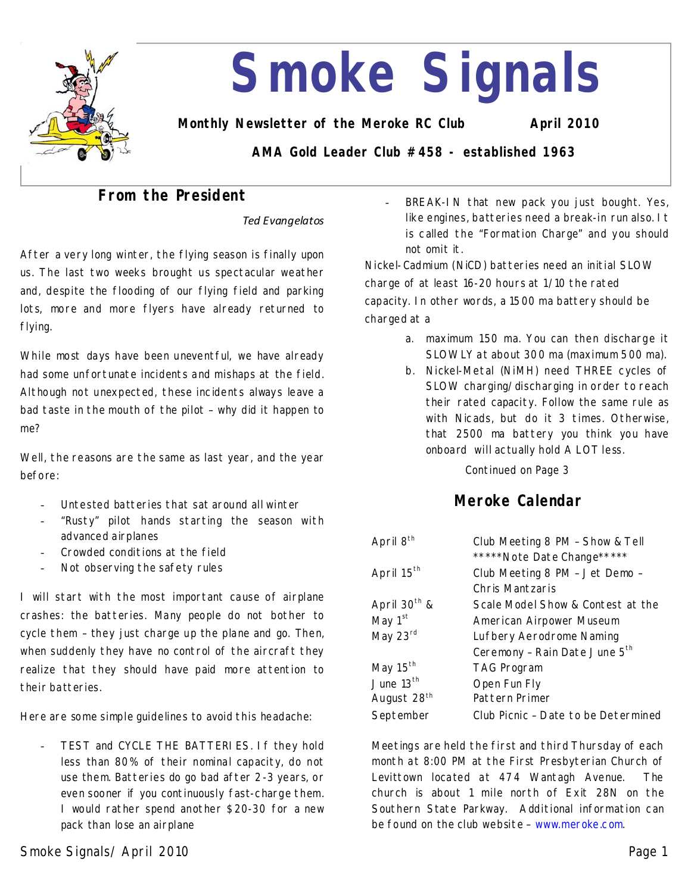

# **Smoke Signals**

**Monthly Newsletter of the Meroke RC Club April 2010**

**AMA Gold Leader Club #458 - established 1963**

# **From the President**

*Ted Evangelatos*

After a very long winter, the flying season is finally upon us. The last two weeks brought us spectacular weather and, despite the flooding of our flying field and parking lots, more and more flyers have already returned to flying.

While most days have been unevent ful, we have already had some unfortunate incidents and mishaps at the field. Although not unexpected, these incidents always leave a bad taste in the mouth of the pilot–why did it happen to me?

Well, the reasons are the same as last year, and the year before:

- Untested batteries that sat around all winter
- "Rusty" pilot hands starting the season with advanced airplanes
- Crowded conditions at the field
- Not observing the safety rules

I will start with the most important cause of airplane crashes: the batteries. Many people do not bother to cycle them–they just charge up the plane and go. Then, when suddenly they have no control of the aircraft they realize that they should have paid more attention to their batteries.

Here are some simple guidelines to avoid this headache:

- TEST and CYCLE THE BATTERIES. If they hold less than 80% of their nominal capacity, do not use them. Batteries do go bad after 2-3 years, or even sooner if you continuously fast-charge them. I would rather spend another \$20-30 for a new pack than lose an airplane

BREAK-IN that new pack you just bought. Yes, like engines, batteries need a break-in run also. It is called the "Formation Charge" and you should not omit it.

Nickel-Cadmium (NiCD) batteries need an initial SLOW charge of at least 16-20 hours at 1/10 the rated capacity. In other words, a 1500 ma battery should be charged at a

- a. maximum 150 ma. You can then discharge it SLOWLY at about 300 ma (maximum 500 ma).
- b. Nickel-Metal (NiMH) need THREE cycles of SLOW charging/discharging in order to reach their rated capacity. Follow the same rule as with Nicads, but do it 3 times. Otherwise, that 2500 ma battery you think you have onboard will actually hold A LOT less.

Continued on Page 3

# **Meroke Calendar**

| April 8 <sup>th</sup>    | Club Meeting 8 PM - Show & Tell     |  |
|--------------------------|-------------------------------------|--|
|                          | *****Note Date Change*****          |  |
| April 15 <sup>th</sup>   | Club Meeting 8 PM - Jet Demo -      |  |
|                          | Chris Mantzaris                     |  |
| April 30 <sup>th</sup> & | Scale Model Show & Contest at the   |  |
| May 1 <sup>st</sup>      | American Airpower Museum            |  |
| May 23rd                 | Lufbery Aerodrome Naming            |  |
|                          | Ceremony - Rain Date June 5th       |  |
| May $15th$               | <b>TAG Program</b>                  |  |
| June $13th$              | Open Fun Fly                        |  |
| August 28 <sup>th</sup>  | Pattern Primer                      |  |
| September                | Club Picnic - Date to be Determined |  |

Meetings are held the first and third Thursday of each month at 8:00 PM at the First Presbyterian Church of Levittown located at 474 Wantagh Avenue. The church is about 1 mile north of Exit 28N on the Southern State Parkway. Additional information can be found on the club website–www.meroke.com.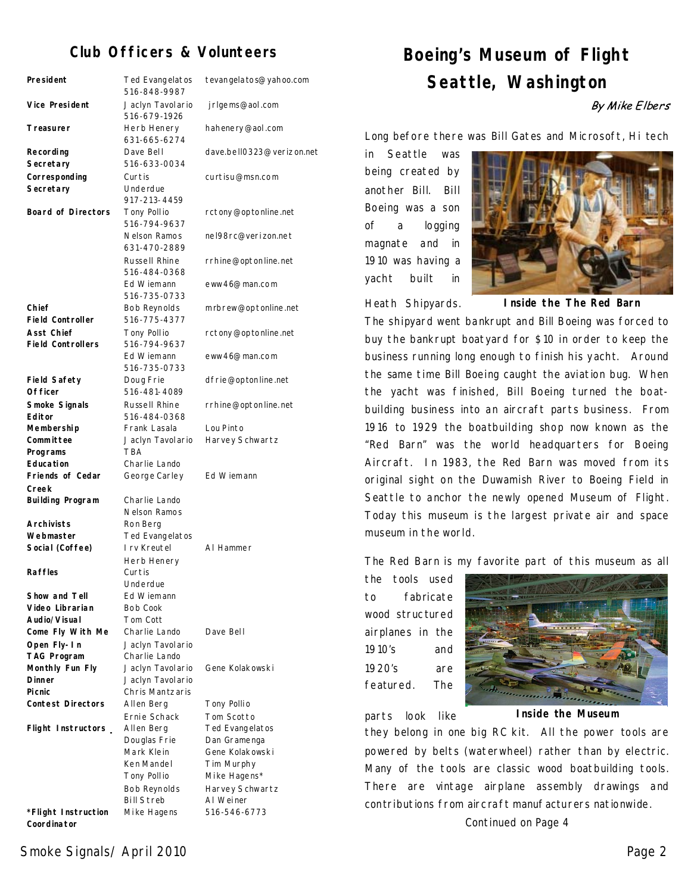## **Club Officers & Volunteers**

| President                                     | Ted Evangelatos<br>516-848-9987    | tevangela to s@yahoo.com  |
|-----------------------------------------------|------------------------------------|---------------------------|
| <b>Vice President</b>                         | Jaclyn Tavolario<br>516-679-1926   | jrlgems@aol.com           |
| Treasurer                                     | Herb Henery<br>631-665-6274        | hahenery@aol.com          |
| Recording<br>Secretary                        | Dave Bell<br>516-633-0034          | dave.bell0323@verizon.net |
| Corresponding<br>Secretary                    | Curtis<br>Underdue<br>917-213-4459 | curtisu@msn.com           |
| <b>Board of Directors</b>                     | Tony Pollio<br>516-794-9637        | rctony@optonline.net      |
|                                               | Nelson Ramos<br>631-470-2889       | nel98rc@verizon.net       |
|                                               | Russell Rhine<br>516-484-0368      | rrhine@optonline.net      |
|                                               | Ed Wiemann<br>516-735-0733         | eww46@man.com             |
| Chief<br><b>Field Controller</b>              | Bob Reynolds<br>516-775-4377       | mrbrew@optonline.net      |
| <b>Asst Chief</b><br><b>Field Controllers</b> | Tony Pollio<br>516-794-9637        | rctony@optonline.net      |
|                                               | Ed Wiemann<br>516-735-0733         | eww46@man.com             |
| <b>Field Safety</b><br>Of ficer               | Doug Frie<br>516-481-4089          | dfrie@optonline.net       |
| Smoke Signals<br>Editor                       | Russell Rhine<br>516-484-0368      | rrhine@optonline.net      |
| Membership                                    | Frank Lasala                       | Lou Pinto                 |
| Committee<br>Programs                         | Jaclyn Tavolario<br><b>TBA</b>     | Harvey Schwartz           |
| <b>Education</b><br>Friends of Cedar          | Charlie Lando<br>George Carley     | Ed Wiemann                |
| Creek<br><b>Building Program</b>              | Charlie Lando                      |                           |
|                                               | Nelson Ramos                       |                           |
| <b>Archivists</b>                             | Ron Berg                           |                           |
| Webmaster                                     | Ted Evangelatos                    |                           |
| Social (Coffee)                               | I rv Kreutel                       | AI Hammer                 |
|                                               | Herb Henery                        |                           |
| <b>Raffles</b>                                | Curtis<br>Underdue                 |                           |
| Show and Tell                                 | Ed Wiemann                         |                           |
| Video Librarian                               | Bob Cook                           |                           |
| Audio/Visual                                  | Tom Cott                           |                           |
| Come Fly With Me                              | Charlie Lando                      | Dave Bell                 |
| Open Fly-In                                   | Jaclyn Tavolario                   |                           |
| <b>TAG Program</b>                            | Charlie Lando                      |                           |
| Monthly Fun Fly                               | Jaclyn Tavolario                   | Gene Kolakowski           |
| <b>Dinner</b>                                 | Jaclyn Tavolario                   |                           |
| <b>Picnic</b>                                 | Chris Mantzaris                    |                           |
| <b>Contest Directors</b>                      | Allen Berg                         | Tony Pollio               |
|                                               | Ernie Schack                       | Tom Scotto                |
| Flight Instructors                            | Allen Berg                         | Ted Evangelatos           |
|                                               | Douglas Frie                       | Dan Gramenga              |
|                                               | Mark Klein                         | Gene Kolakowski           |
|                                               | Ken Mandel                         | Tim Murphy                |
|                                               | Tony Pollio                        | Mike Hagens*              |
|                                               | Bob Reynolds                       | Harvey Schwartz           |
|                                               | <b>Bill Streb</b>                  | AI Weiner                 |
| *Flight Instruction<br>Coordinator            | Mike Hagens                        | 516-546-6773              |

# **Boeing's Museum of Flight Seattle, Washington**

By Mike Elbers

Long before there was Bill Gates and Microsoft, Hi tech

in Seattle was being created by another Bill. Bill Boeing was a son of a logging magnate and in 1910 was having a yacht built in



Heath Shipyards.

**Inside the The Red Barn** 

The shipyard went bankrupt and Bill Boeing was forced to buy the bankrupt boatyard for \$10 in order to keep the business running long enough to finish his yacht. Around the same time Bill Boeing caught the aviation bug. When the yacht was finished, Bill Boeing turned the boat building business into an aircraft parts business. From 1916 to 1929 the boatbuilding shop now known as the "Red Barn" was the world headquarters for Boeing Aircraft. In 1983, the Red Barn was moved from its original sight on the Duwamish River to Boeing Field in Seattle to anchor the newly opened Museum of Flight. Today this museum is the largest private air and space museum in the world.

The Red Barn is my favorite part of this museum as all

the tools used to fabricate wood structured airplanes in the 1910's and 1920's are featured. The



parts look like

**Inside the Museum**

they belong in one big RC kit. All the power tools are powered by belts (waterwheel) rather than by electric. Many of the tools are classic wood boatbuilding tools. There are vintage airplane assembly drawings and contributions from aircraft manufacturers nationwide.

Continued on Page 4

Smoke Signals/April 2010 Page 2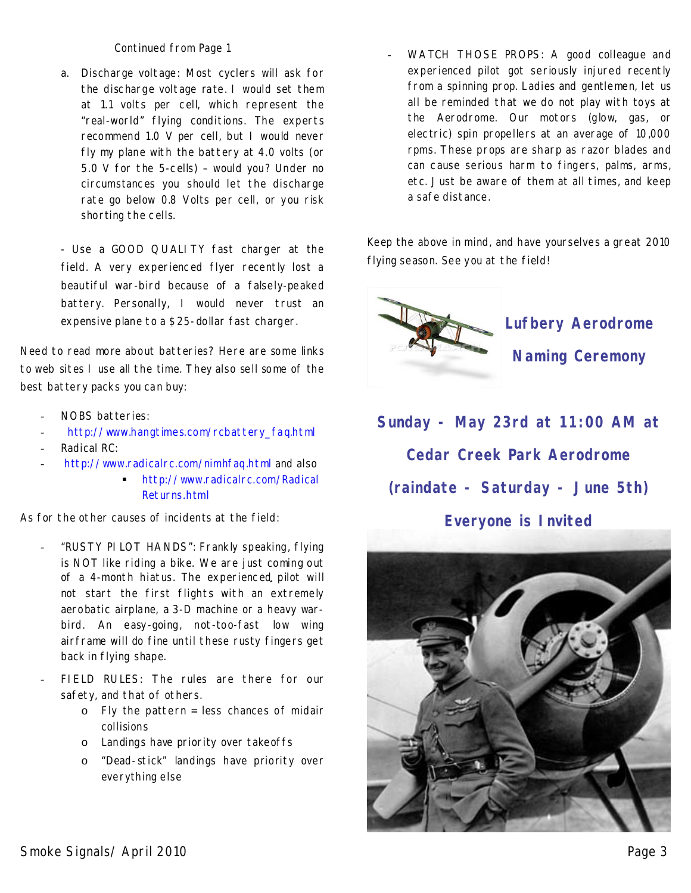Continued from Page 1

a. Discharge voltage: Most cyclers will ask for the discharge voltage rate. I would set them at 1.1 volts per cell, which represent the "real-world" flying conditions. The experts recommend 1.0 V per cell, but I would never fly my plane with the battery at 4.0 volts (or 5.0 V for the 5-cells) - would you? Under no circumstances you should let the discharge rate go below 0.8 Volts per cell, or you risk shorting the cells.

-Use a GOOD QUALITY fast charger at the field. A very experienced flyer recently lost a beautiful war-bird because of a falsely-peaked battery. Personally, I would never trust an expensive plane to a \$25-dollar fast charger.

Need to read more about batteries?Here are some links to web sites I use all the time. They also sell some of the best battery packs you can buy:

- NOBS batteries:
- http://www.hangtimes.com/rcbattery\_faq.html
- Radical RC:
- http://www.radicalrc.com/nimhfaq.html and also

**http://www.radicalrc.com/Radical** Returns.html

As for the other causes of incidents at the field:

- "RUSTY PILOT HANDS": Frankly speaking, flying is NOT like riding a bike. We are just coming out of a 4-month hiatus. The experienced pilot will not start the first flights with an extremely aerobatic airplane, a 3-D machine or a heavy war bird. An easy-going, not-too-fast low wing airframe will do fine until these rusty fingers get back in flying shape.
- FIELD RULES: The rules are there for our safety, and that of others.
	- o Fly the pattern = less chances of midair collisions
	- o Landings have priority over takeoffs
	- o "Dead-stick" landings have priority over everything else

WATCH THOSE PROPS: A good colleague and experienced pilot got seriously injured recently from a spinning prop. Ladies and gentlemen, let us all be reminded that we do not play with toys at the Aerodrome. Our motors (glow, gas, or electric) spin propellers at an average of 10,000 rpms. These props are sharp as razor blades and can cause serious harm to fingers, palms, arms, etc.Just be aware of them at all times, and keep a safe distance.

Keep the above in mind, and have yourselves a great 2010 flying season. See you at the field!



 **Lufbery Aerodrome Naming Ceremony**

# **Sunday - May 23rd at 11:00 AM at Cedar Creek Park Aerodrome (raindate - Saturday - June 5th) Everyone is Invited**

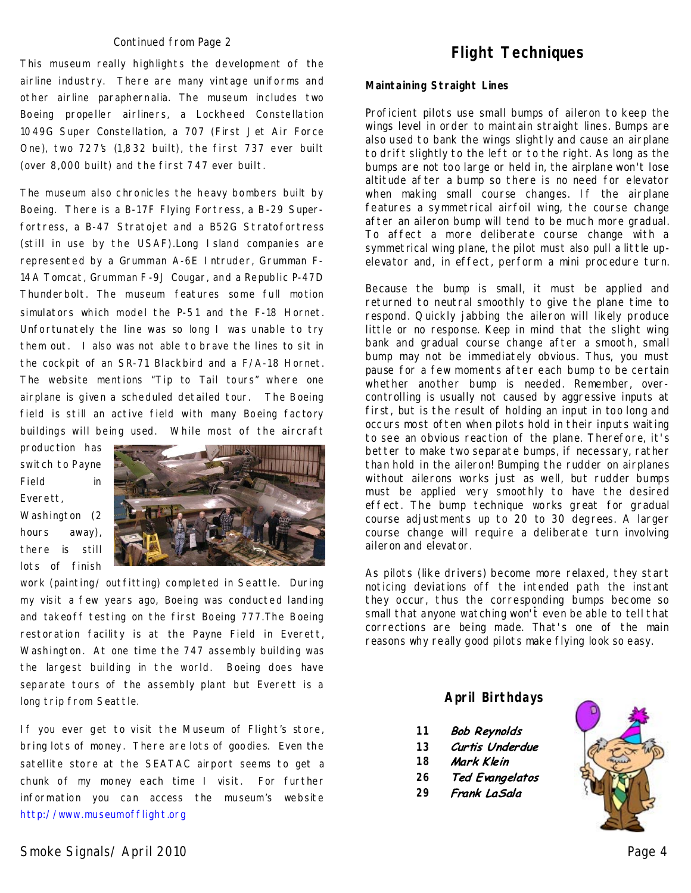#### Continued from Page 2

This museum really highlights the development of the airline industry. There are many vintage uniforms and other airline paraphernalia. The museum includes two Boeing propeller airliners, a Lockheed Constellation 1049G Super Constellation, a 707 (First Jet Air Force One), two 727's (1,832 built), the first 737 ever built (over 8,000 built) and the first 747 ever built.

The museum also chronicles the heavy bombers built by Boeing. There is a B-17F Flying Fortress, a B-29 Super fortress, a B-47 Stratojet and a B52G Stratofortress (still in use by the USAF).Long Island companies are represented by a Grumman A-6E Intruder, Grumman F-14A Tomcat, Grumman F-9J Cougar, and a Republic P-47D Thunderbolt. The museum features some full motion simulators which model the P-51 and the F-18 Hornet. Unfortunately the line was so long I was unable to try them out. I also was not able to brave the lines to sit in the cockpit of an SR-71 Blackbird and a F/A-18 Hornet. The website mentions "Tip to Tail tours" where one airplane is given a scheduled detailed tour. The Boeing field is still an active field with many Boeing factory buildings will being used. While most of the aircraft

production has switch to Payne Field in Everett,

Washington (2 hours away), there is still lots of finish



work (painting/ outfitting) completed in Seattle. During my visit a few years ago, Boeing was conducted landing and takeoff testing on the first Boeing 777.The Boeing restoration facility is at the Payne Field in Everett, Washington. At one time the 747 assembly building was the largest building in the world. Boeing does have separate tours of the assembly plant but Everett is a long trip from Seattle.

If you ever get to visit the Museum of Flight's store, bring lots of money. There are lots of goodies. Even the satellite store at the SEATAC airport seems to get a chunk of my money each time I visit. For further information you can access the museum's website http://www.museumofflight.org

#### **Maintaining Straight Lines**

Proficient pilots use small bumps of aileron to keep the wings level in order to maintain straight lines. Bumps are also used to bank the wings slightly and cause an airplane to drift slightly to the left or to the right. As long as the bumps are not too large or held in, the airplane won't lose altitude after a bump so there is no need for elevator when making small course changes. If the airplane features a symmetrical airfoil wing, the course change after an aileron bump will tend to be much more gradual. To affect a more deliberate course change with a symmetrical wing plane, the pilot must also pull a little up elevator and, in effect, perform a mini procedure turn.

Because the bump is small, it must be applied and returned to neutral smoothly to give the plane time to respond. Quickly jabbing the aileron will likely produce little or no response. Keep in mind that the slight wing bank and gradual course change after a smooth, small bump may not be immediately obvious. Thus, you must pause for a few moments after each bump to be certain whether another bump is needed. Remember, over controlling is usually not caused by aggressive inputs at first, but is the result of holding an input in too long and occurs most often when pilots hold in their inputs waiting to see an obvious reaction of the plane. Therefore, it's better to make two separate bumps, if necessary, rather than hold in the aileron! Bumping the rudder on airplanes without ailerons works just as well, but rudder bumps must be applied very smoothly to have the desired effect. The bump technique works great for gradual course adjustments up to 20 to 30 degrees. A larger course change will require a deliberate turn involving aileron and elevator.

As pilots (like drivers) become more relaxed, they start noticing deviations off the intended path the instant they occur, thus the corresponding bumps become so small that anyone watching won't even be able to tell that corrections are being made. That's one of the main reasons why really good pilots make flying look so easy.

#### **April Birthdays**

- **11 Bob Reynolds**
- **13** Curtis Underdue
- **18** Mark Klein
- **Ted Evangelatos 26**
- Frank LaSala **29**

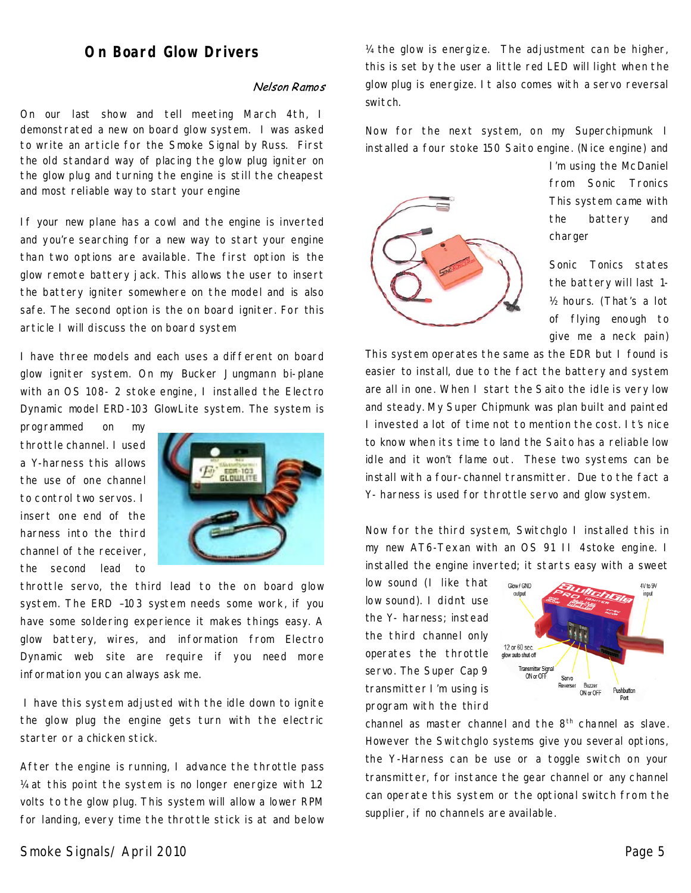### **On Board Glow Drivers**

#### Nelson Ramos

On our last show and tell meeting March 4th, I demonstrated a new on board glow system. I was asked to write an article for the Smoke Signal by Russ. First the old standard way of placing the glow plug igniter on the glow plug and turning the engine is still the cheapest and most reliable way to start your engine

If your new plane has a cowl and the engine is inverted and you're searching for a new way to start your engine than two options are available. The first option is the glow remote battery jack. This allows the user to insert the battery igniter somewhere on the model and is also safe. The second option is the on board igniter. For this article I will discuss the on board system

I have three models and each uses a different on board glow igniter system. On my Bucker Jungmann bi-plane with an OS 108-2 stoke engine, I installed the Electro Dynamic model ERD-103 GlowLite system. The system is

programmed on my throttle channel. I used a Y-harness this allows the use of one channel tocontrol two servos. I insert one end of the harness into the third channel of the receiver, the second lead to



throttle servo, the third lead to the on board glow system. The ERD–103 system needs some work, if you have some soldering experience it makes things easy. A glow battery, wires, and information from Electro Dynamic web site are require if you need more information you can always ask me.

I have this system adjusted with the idle down to ignite the glow plug the engine gets turn with the electric starter or a chicken stick.

After the engine is running, I advance the throttle pass ¼ at this point the system is no longer energize with 1.2 volts to the glow plug. This system will allow a lower RPM for landing, every time the throttle stick is at and below ¼ the glow is energize. The adjustment can be higher, this is set by the user a little red LED will light when the glow plug is energize. It also comes with a servo reversal switch.

Now for the next system, on my Superchipmunk I installed a four stoke 150 Saito engine. (Nice engine) and



I'm using the McDaniel from Sonic Tronics This system came with the battery and charger

Sonic Tonics states the battery will last 1- ½ hours. (That's a lot of flying enough to give me a neck pain)

This system operates the same as the EDR but I found is easier to install, due to the fact the battery and system are all in one. When I start the Saito the idle is very low and steady. My Super Chipmunk was plan built and painted I invested a lot of time not to mention the cost. I t's nice to know when its time to land the Saito has a reliable low idle and it won't flame out. These two systems can be install with a four-channel transmitter. Due to the fact a Y-harness is used for throttle servo and glow system.

Now for the third system, Switchglo I installed this in my new AT6-Texan with an OS 91 II 4stoke engine. I installed the engine inverted; it starts easy with a sweet

low sound (I like that low sound). I didn't use the Y- harness; instead the third channel only operates the throttle servo. The Super Cap 9 transmitter I'm using is program with the third



channel as master channel and the  $8<sup>th</sup>$  channel as slave. However the Switchglo systems give you several options, the Y-Harness can be use or a toggle switch on your transmitter, for instance the gear channel or any channel can operate this system or the optional switch from the supplier, if no channels are available.